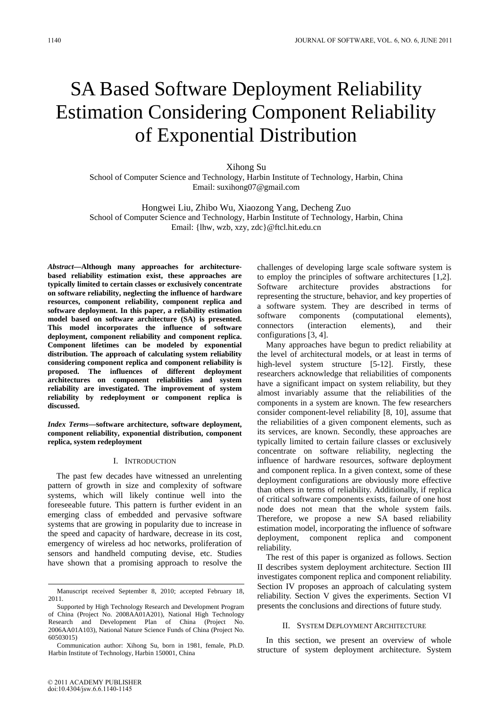# SA Based Software Deployment Reliability Estimation Considering Component Reliability of Exponential Distribution

Xihong Su School of Computer Science and Technology, Harbin Institute of Technology, Harbin, China Email: suxihong07@gmail.com

Hongwei Liu, Zhibo Wu, Xiaozong Yang, Decheng Zuo School of Computer Science and Technology, Harbin Institute of Technology, Harbin, China Email: {lhw, wzb, xzy, zdc}@ftcl.hit.edu.cn

*Abstract***—Although many approaches for architecturebased reliability estimation exist, these approaches are typically limited to certain classes or exclusively concentrate on software reliability, neglecting the influence of hardware resources, component reliability, component replica and software deployment. In this paper, a reliability estimation model based on software architecture (SA) is presented. This model incorporates the influence of software deployment, component reliability and component replica. Component lifetimes can be modeled by exponential distribution. The approach of calculating system reliability considering component replica and component reliability is proposed. The influences of different deployment architectures on component reliabilities and system reliability are investigated. The improvement of system reliability by redeployment or component replica is discussed.**

*Index Terms***—software architecture, software deployment, component reliability, exponential distribution, component replica, system redeployment** 

## I. INTRODUCTION

The past few decades have witnessed an unrelenting pattern of growth in size and complexity of software systems, which will likely continue well into the foreseeable future. This pattern is further evident in an emerging class of embedded and pervasive software systems that are growing in popularity due to increase in the speed and capacity of hardware, decrease in its cost, emergency of wireless ad hoc networks, proliferation of sensors and handheld computing devise, etc. Studies have shown that a promising approach to resolve the

challenges of developing large scale software system is to employ the principles of software architectures [1,2]. Software architecture provides abstractions for representing the structure, behavior, and key properties of a software system. They are described in terms of software components (computational elements), connectors (interaction elements), and their configurations [3, 4].

Many approaches have begun to predict reliability at the level of architectural models, or at least in terms of high-level system structure [5-12]. Firstly, these researchers acknowledge that reliabilities of components have a significant impact on system reliability, but they almost invariably assume that the reliabilities of the components in a system are known. The few researchers consider component-level reliability [8, 10], assume that the reliabilities of a given component elements, such as its services, are known. Secondly, these approaches are typically limited to certain failure classes or exclusively concentrate on software reliability, neglecting the influence of hardware resources, software deployment and component replica. In a given context, some of these deployment configurations are obviously more effective than others in terms of reliability. Additionally, if replica of critical software components exists, failure of one host node does not mean that the whole system fails. Therefore, we propose a new SA based reliability estimation model, incorporating the influence of software deployment, component replica and component reliability.

The rest of this paper is organized as follows. Section II describes system deployment architecture. Section III investigates component replica and component reliability. Section IV proposes an approach of calculating system reliability. Section V gives the experiments. Section VI presents the conclusions and directions of future study.

## II. SYSTEM DEPLOYMENT ARCHITECTURE

In this section, we present an overview of whole structure of system deployment architecture. System

Manuscript received September 8, 2010; accepted February 18, 2011.

Supported by High Technology Research and Development Program of China (Project No. 2008AA01A201), National High Technology Research and Development Plan of China (Project No. 2006AA01A103), National Nature Science Funds of China (Project No. 60503015)

Communication author: Xihong Su, born in 1981, female, Ph.D. Harbin Institute of Technology, Harbin 150001, China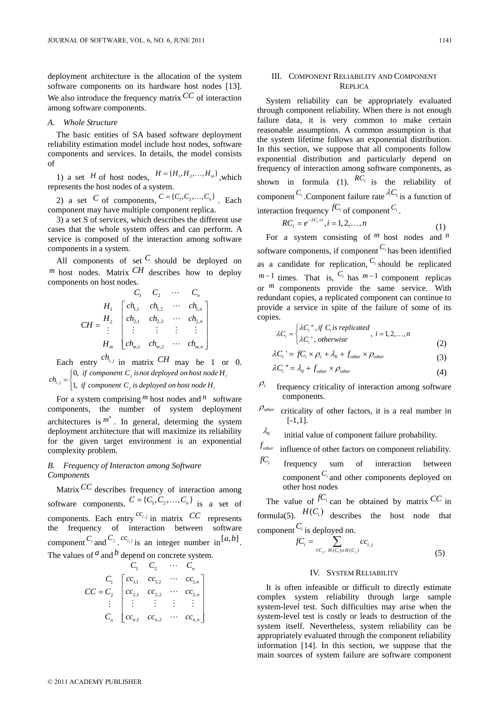deployment architecture is the allocation of the system software components on its hardware host nodes [13]. We also introduce the frequency matrix*CC* of interaction among software components.

#### *A. Whole Structure*

The basic entities of SA based software deployment reliability estimation model include host nodes, software components and services. In details, the model consists of

1) a set *H* of host nodes,  $H = {H_1, H_2, ..., H_m}$ , which represents the host nodes of a system.

2) a set C of components,  $C = \{C_1, C_2, \ldots, C_n\}$ . Each component may have multiple component replica.

3) a set S of services, which describes the different use cases that the whole system offers and can perform. A service is composed of the interaction among software components in a system.

All components of set  $C$  should be deployed on  $^m$  host nodes. Matrix  $^{CH}$  describes how to deploy components on host nodes.

$$
CH = \begin{bmatrix} & C_1 & C_2 & \cdots & C_n \\ H_1 & \begin{bmatrix} ch_{1,1} & ch_{1,2} & \cdots & ch_{1,n} \\ ch_{2,1} & ch_{2,2} & \cdots & ch_{2,n} \\ \vdots & \vdots & \vdots & \vdots & \vdots \\ ch_{m,1} & ch_{m,2} & \cdots & ch_{m,n} \end{bmatrix} \end{bmatrix}
$$

Each entry  $ch_{i,j}$  in matrix  $CH$  may be 1 or 0. 0,  $ch_{i,j} = \begin{cases} 0, & \text{if component } C_j \text{ is not deployed on host node H} \\ 1, & \text{if component } C_j \text{ is deployed on host node H} \end{cases}$ 

#### , 1,  $f_{i,j} =\begin{cases} 0, & j \text{ component } c_j \text{ is not deployed on host node } H_i \\ 1, & j \text{ component } C_j \text{ is deployed on host node } H_i \end{cases}$  $\overline{\mathsf{I}}$

For a system comprising  $^m$  host nodes and  $^n$  software components, the number of system deployment architectures is  $m^n$ . In general, determing the system deployment architecture that will maximize its reliability for the given target environment is an exponential complexity problem.

## *B. Frequency of Interacton among Software Components*

Matrix<sup>*CC*</sup> describes frequency of interaction among software components.  $C = \{C_1, C_2, ..., C_n\}$  is a set of components. Each entry  $^{cc_{i,j}}$  in matrix  $CC$  represents the frequency of interaction between software component *C<sub>i</sub>* and *C<sub>j</sub>* . *cc<sub>i, j</sub>* is an integer number in [*a, b*]. The values of  $^a$  and  $^b$  depend on concrete system.

$$
C_{1} C_{2} \cdots C_{n}
$$
\n
$$
CC = C_{2} \begin{bmatrix} cc_{1,1} & cc_{1,2} & \cdots & cc_{1,n} \\ cc_{2,1} & cc_{2,2} & \cdots & cc_{2,n} \\ \vdots & \vdots & \vdots & \vdots & \vdots \\ cc_{n,1} & cc_{n,2} & \cdots & cc_{n,n} \end{bmatrix}
$$

## III. COMPONENT RELIABILITY AND COMPONENT REPLICA

System reliability can be appropriately evaluated through component reliability. When there is not enough failure data, it is very common to make certain reasonable assumptions. A common assumption is that the system lifetime follows an exponential distribution. In this section, we suppose that all components follow exponential distribution and particularly depend on frequency of interaction among software components, as shown in formula (1).  $RC_i$  is the reliability of component  $C_i$ . Component failure rate  $\lambda C_i$  is a function of interaction frequency  ${}^fC_i$  of component  ${}^C_i$ .

$$
RC_i = e^{-\lambda C_i \times t}, i = 1, 2, ..., n
$$
 (1)

For a system consisting of *m* host nodes and *n* software components, if component *Ci* has been identified as a candidate for replication,  $C_i$  should be replicated  $m-1$  times. That is,  $C_i$  has  $m-1$  component replicas or <sup>*m*</sup> components provide the same service. With redundant copies, a replicated component can continue to provide a service in spite of the failure of some of its copies.

$$
\lambda C_i = \begin{cases} \lambda C_i^{\ \ \ \text{or} \ i \ \text{if} \ C_i \ \text{is replicated} \\ \lambda C_i^{\ \ \ \text{or} \ i \ \text{otherwise} \end{cases}, i = 1, 2, \dots, n \tag{2}
$$

$$
\lambda C_i = f C_i \times \rho_c + \lambda_0 + f_{other} \times \rho_{other}
$$
\n(3)

$$
\lambda C_i = \lambda_0 + f_{other} \times \rho_{other}
$$
 (4)

- $\rho_c$  frequency criticality of interaction among software components.
- <sup>ρ</sup>*other* criticality of other factors, it is a real number in [-1,1].
- $\lambda_0$  initial value of component failure probability.
- $f_{\mathit{other}}$  influence of other factors on component reliability.
- $fC_i$  frequency sum of interaction between component *Ci* and other components deployed on other host nodes

The value of  $^{fC_i}$  can be obtained by matrix  $^{CC}$  in formula(5).  $H(C_i)$  describes the host node that component*Ci* is deployed on.

$$
fC_i = \sum_{\forall C_j, H(C_i) \neq H(C_j)} cc_{i,j}
$$
\n
$$
(5)
$$

#### IV. SYSTEM RELIABILITY

It is often infeasible or difficult to directly estimate complex system reliability through large sample system-level test. Such difficulties may arise when the system-level test is costly or leads to destruction of the system itself. Nevertheless, system reliability can be appropriately evaluated through the component reliability information [14]. In this section, we suppose that the main sources of system failure are software component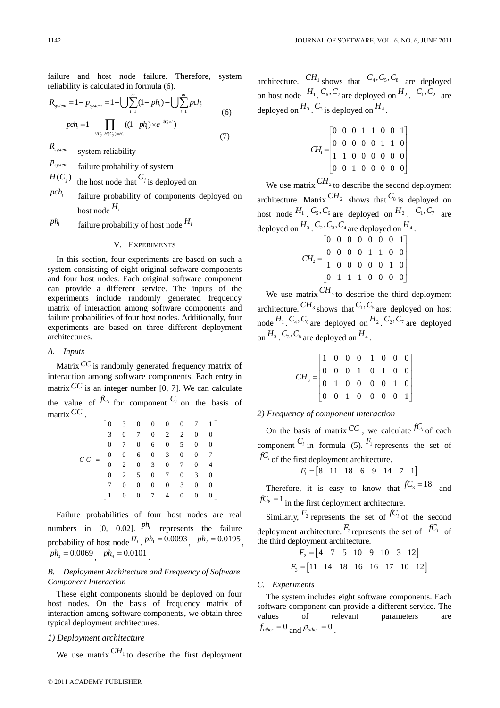failure and host node failure. Therefore, system reliability is calculated in formula (6).

$$
R_{system} = 1 - p_{system} = 1 - \bigcup \sum_{i=1}^{m} (1 - ph_i) - \bigcup \sum_{i=1}^{m} pch_i
$$
  
\n
$$
pch_i = 1 - \prod_{\forall C_j, H(C_j) = H_i} ((1 - ph_i) \times e^{-\lambda C_i \times t})
$$
\n(7)

*Rsystem* system reliability

 $P_{system}$  **failure probability of system** 

 $H(C_j)$  the host node that  $C_j$  is deployed on

- $pch_i$  failure probability of components deployed on host node  $H_i$
- $ph_i$  failure probability of host node  $H_i$

## V. EXPERIMENTS

In this section, four experiments are based on such a system consisting of eight original software components and four host nodes. Each original software component can provide a different service. The inputs of the experiments include randomly generated frequency matrix of interaction among software components and failure probabilities of four host nodes. Additionally, four experiments are based on three different deployment architectures.

#### *A. Inputs*

Matrix *CC* is randomly generated frequency matrix of interaction among software components. Each entry in matrix  $\overline{CC}$  is an integer number [0, 7]. We can calculate the value of  $^{fC_i}$  for component  $^{C_i}$  on the basis of matrix*CC* .

|        |  | $\begin{bmatrix} 0 & 3 & 0 & 0 & 0 & 0 & 7 & 1 \\ 3 & 0 & 7 & 0 & 2 & 2 & 0 & 0 \\ 0 & 7 & 0 & 6 & 0 & 5 & 0 & 0 \\ 0 & 0 & 6 & 0 & 3 & 0 & 0 & 7 \\ 0 & 2 & 0 & 3 & 0 & 7 & 0 & 4 \\ 0 & 2 & 5 & 0 & 7 & 0 & 3 & 0 \\ 7 & 0 & 0 & 0 & 0 & 3 & 0 & 0 \\ 1 & 0 & 0 & 7 & 4 & 0 & 0 & 0 \end{bmatrix}$ |  |  |  |  |  |
|--------|--|------------------------------------------------------------------------------------------------------------------------------------------------------------------------------------------------------------------------------------------------------------------------------------------------------|--|--|--|--|--|
|        |  |                                                                                                                                                                                                                                                                                                      |  |  |  |  |  |
|        |  |                                                                                                                                                                                                                                                                                                      |  |  |  |  |  |
| $C\ C$ |  |                                                                                                                                                                                                                                                                                                      |  |  |  |  |  |
|        |  |                                                                                                                                                                                                                                                                                                      |  |  |  |  |  |
|        |  |                                                                                                                                                                                                                                                                                                      |  |  |  |  |  |
|        |  |                                                                                                                                                                                                                                                                                                      |  |  |  |  |  |
|        |  |                                                                                                                                                                                                                                                                                                      |  |  |  |  |  |

Failure probabilities of four host nodes are real numbers in  $[0, 0.02]$ .  $ph_i$  represents the failure probability of host node  $H_i$ ,  $ph_1 = 0.0093$ ,  $ph_2 = 0.0195$ ,  $ph_3 = 0.0069$   $ph_4 = 0.0101$ 

## *B. Deployment Architecture and Frequency of Software Component Interaction*

These eight components should be deployed on four host nodes. On the basis of frequency matrix of interaction among software components, we obtain three typical deployment architectures.

## *1) Deployment architecture*

We use matrix  $CH<sub>1</sub>$  to describe the first deployment

architecture.  $CH_1$  shows that  $C_4, C_5, C_8$  are deployed on host node  $H_1$ ,  $C_6$ ,  $C_7$  are deployed on  $H_2$ ,  $C_1$ ,  $C_2$  are deployed on  $H_3$  .  $C_3$  is deployed on  $H_4$ .

$$
CH1 = \begin{bmatrix} 0 & 0 & 0 & 1 & 1 & 0 & 0 & 1 \\ 0 & 0 & 0 & 0 & 0 & 1 & 1 & 0 \\ 1 & 1 & 0 & 0 & 0 & 0 & 0 & 0 \\ 0 & 0 & 1 & 0 & 0 & 0 & 0 & 0 \end{bmatrix}
$$

We use matrix  $\frac{CH_2}{}$  to describe the second deployment architecture. Matrix  $\frac{CH_2}{CH_2}$  shows that  $C_8$  is deployed on host node  $^{H_1}$ ,  $^{C_5}$ ,  $^{C_6}$  are deployed on  $^{H_2}$ ,  $^{C_1}$ ,  $^{C_7}$  are deployed on  $H_3$  ,  $C_2$ ,  $C_3$ ,  $C_4$  are deployed on  $H_4$ .

$$
CH_2 = \begin{bmatrix} 0 & 0 & 0 & 0 & 0 & 0 & 1 \\ 0 & 0 & 0 & 0 & 1 & 1 & 0 & 0 \\ 1 & 0 & 0 & 0 & 0 & 0 & 1 & 0 \\ 0 & 1 & 1 & 1 & 0 & 0 & 0 & 0 \end{bmatrix}
$$

We use matrix  $CH_3$  to describe the third deployment architecture.  $CH_3$  shows that  $C_1$ ,  $C_5$  are deployed on host node  $H_1$ ,  $C_4$ ,  $C_6$  are deployed on  $H_2$ ,  $C_2$ ,  $C_7$  are deployed on  $H_3$   $C_3$ ,  $C_8$  are deployed on  $H_4$ .

| $CH_3 = \begin{bmatrix} 1 & 0 & 0 & 0 & 1 & 0 & 0 & 0 \\ 0 & 0 & 0 & 1 & 0 & 1 & 0 & 0 \\ 0 & 1 & 0 & 0 & 0 & 0 & 1 & 0 \\ 0 & 0 & 1 & 0 & 0 & 0 & 0 & 1 \end{bmatrix}$ |  |  |  |  |
|-------------------------------------------------------------------------------------------------------------------------------------------------------------------------|--|--|--|--|

## *2) Frequency of component interaction*

On the basis of matrix  $\mathbb{C}C$ , we calculate  $\int_{i}^{f}C_i$  of each component  $C_i$  in formula (5).  $F_1$  represents the set of  $fC_i$  of the first deployment architecture.

$$
F_1 = [8 \quad 11 \quad 18 \quad 6 \quad 9 \quad 14 \quad 7 \quad 1]
$$

Therefore, it is easy to know that  $fC_3 = 18$  and  $fC_8 = 1$  in the first deployment architecture.

Similarly,  $F_2$  represents the set of  $fC_i$  of the second deployment architecture.  $F_3$  represents the set of  $fC_i$  of the third deployment architecture.

$$
F_2 = \begin{bmatrix} 4 & 7 & 5 & 10 & 9 & 10 & 3 & 12 \end{bmatrix}
$$
  

$$
F_3 = \begin{bmatrix} 11 & 14 & 18 & 16 & 16 & 17 & 10 & 12 \end{bmatrix}
$$

## *C. Experiments*

The system includes eight software components. Each software component can provide a different service. The values of relevant parameters are  $f_{other} = 0$  and  $\rho_{other} = 0$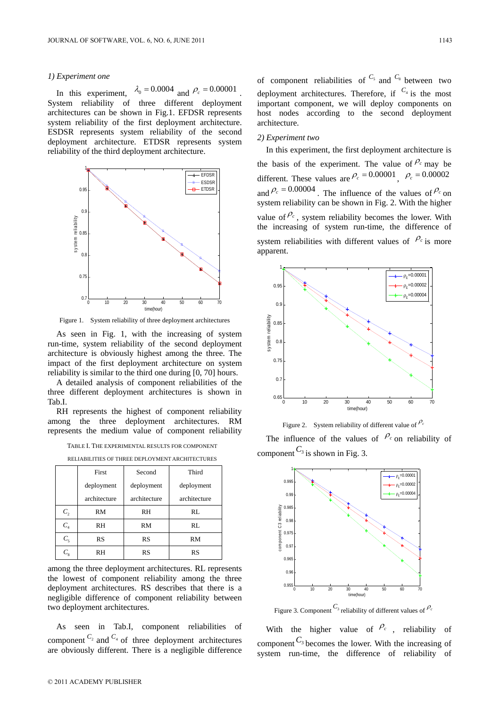#### *1) Experiment one*

In this experiment,  $\lambda_0 = 0.0004$  and  $\rho_c = 0.00001$ System reliability of three different deployment architectures can be shown in Fig.1. EFDSR represents system reliability of the first deployment architecture. ESDSR represents system reliability of the second deployment architecture. ETDSR represents system reliability of the third deployment architecture.



Figure 1. System reliability of three deployment architectures

As seen in Fig. 1, with the increasing of system run-time, system reliability of the second deployment architecture is obviously highest among the three. The impact of the first deployment architecture on system reliability is similar to the third one during [0, 70] hours.

A detailed analysis of component reliabilities of the three different deployment architectures is shown in Tab.I.

RH represents the highest of component reliability among the three deployment architectures. RM represents the medium value of component reliability

TABLE I. THE EXPERIMENTAL RESULTS FOR COMPONENT

|  |  |  | RELIABILITIES OF THREE DEPLOYMENT ARCHITECTURES |
|--|--|--|-------------------------------------------------|
|--|--|--|-------------------------------------------------|

|                 | First        | Second       | Third        |  |  |
|-----------------|--------------|--------------|--------------|--|--|
|                 | deployment   | deployment   | deployment   |  |  |
|                 | architecture | architecture | architecture |  |  |
| C <sub>2</sub>  | RM           | RH           | RL           |  |  |
| $C_4$           | RH           | RM           | RL           |  |  |
| $C_{\varsigma}$ | RS           | RS           | RM           |  |  |
|                 | RH           | RS           | RS           |  |  |

among the three deployment architectures. RL represents the lowest of component reliability among the three deployment architectures. RS describes that there is a negligible difference of component reliability between two deployment architectures.

As seen in Tab.I, component reliabilities of component  $C_2$  and  $C_4$  of three deployment architectures are obviously different. There is a negligible difference

of component reliabilities of  $C_5$  and  $C_8$  between two deployment architectures. Therefore, if  $C_4$  is the most important component, we will deploy components on host nodes according to the second deployment architecture.

#### *2) Experiment two*

In this experiment, the first deployment architecture is the basis of the experiment. The value of  $P_c$  may be different. These values are  $\rho_c = 0.00001$   $\rho_c = 0.00002$ and  $\rho_c = 0.00004$ . The influence of the values of  $\rho_c$  on system reliability can be shown in Fig. 2. With the higher value of  $\mathcal{P}_c$ , system reliability becomes the lower. With the increasing of system run-time, the difference of system reliabilities with different values of  $\mathcal{P}_c$  is more apparent.



Figure 2. System reliability of different value of  $\rho_c$ 

The influence of the values of  $\ell_c$  on reliability of component  $C_3$  is shown in Fig. 3.



Figure 3. Component  $C_3$  reliability of different values of  $\rho_c$ 

With the higher value of  $\rho_c$ , reliability of component  $C_3$  becomes the lower. With the increasing of system run-time, the difference of reliability of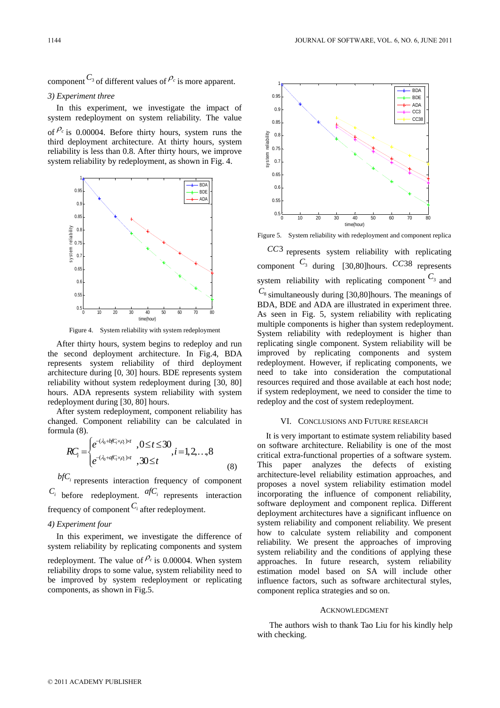component  $C_3$  of different values of  $\rho_c$  is more apparent.

## *3) Experiment three*

In this experiment, we investigate the impact of system redeployment on system reliability. The value of  $P_c$  is 0.00004. Before thirty hours, system runs the

third deployment architecture. At thirty hours, system reliability is less than 0.8. After thirty hours, we improve system reliability by redeployment, as shown in Fig. 4.



Figure 4. System reliability with system redeployment

After thirty hours, system begins to redeploy and run the second deployment architecture. In Fig.4, BDA represents system reliability of third deployment architecture during [0, 30] hours. BDE represents system reliability without system redeployment during [30, 80] hours. ADA represents system reliability with system redeployment during [30, 80] hours.

After system redeployment, component reliability has changed. Component reliability can be calculated in formula (8).

$$
RC_i = \begin{cases} e^{-(\lambda_0 + bfC_i \times \rho_c) \times t}, & 0 \le t \le 30 \\ e^{-(\lambda_0 + afC_i \times \rho_c) \times t}, & 30 \le t \end{cases}, i = 1, 2, ..., 8
$$
 (8)

 $bf$ <sup>C</sup> $i$ </sup> represents interaction frequency of component  $C_i$  before redeployment.  $a f C_i$  represents interaction frequency of component*Ci* after redeployment.

## *4) Experiment four*

In this experiment, we investigate the difference of system reliability by replicating components and system redeployment. The value of  $\ell_c$  is 0.00004. When system reliability drops to some value, system reliability need to be improved by system redeployment or replicating components, as shown in Fig.5.



Figure 5. System reliability with redeployment and component replica

*CC*3 represents system reliability with replicating component  $C_3$  during [30,80] hours.  $CC38$  represents system reliability with replicating component  $C_3$  and  $C_8$  simultaneously during [30,80] hours. The meanings of BDA, BDE and ADA are illustrated in experiment three. As seen in Fig. 5, system reliability with replicating multiple components is higher than system redeployment. System reliability with redeployment is higher than replicating single component. System reliability will be improved by replicating components and system redeployment. However, if replicating components, we need to take into consideration the computational resources required and those available at each host node; if system redeployment, we need to consider the time to redeploy and the cost of system redeployment.

#### VI. CONCLUSIONS AND FUTURE RESEARCH

It is very important to estimate system reliability based on software architecture. Reliability is one of the most critical extra-functional properties of a software system. This paper analyzes the defects of existing architecture-level reliability estimation approaches, and proposes a novel system reliability estimation model incorporating the influence of component reliability, software deployment and component replica. Different deployment architectures have a significant influence on system reliability and component reliability. We present how to calculate system reliability and component reliability. We present the approaches of improving system reliability and the conditions of applying these approaches. In future research, system reliability estimation model based on SA will include other influence factors, such as software architectural styles, component replica strategies and so on.

#### ACKNOWLEDGMENT

The authors wish to thank Tao Liu for his kindly help with checking.